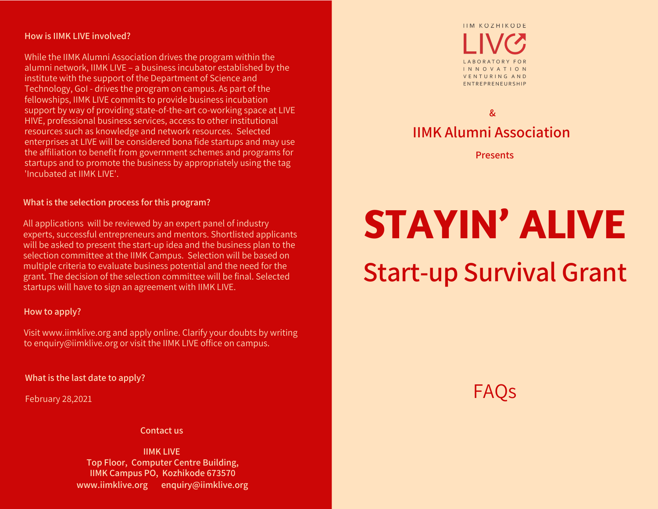#### **How is IIMK LIVE involved?**

While the IIMK Alumni Association drives the program within the alumni network, IIMK LIVE – a business incubator established by the institute with the support of the Department of Science and Technology, GoI - drives the program on campus. As part of the fellowships, IIMK LIVE commits to provide business incubation support by way of providing state-of-the-art co-working space at LIVE HIVE, professional business services, access to other institutional resources such as knowledge and network resources. Selected enterprises at LIVE will be considered bona fide startups and may use the affiliation to benefit from government schemes and programs for startups and to promote the business by appropriately using the tag 'Incubated at IIMK LIVE'.

#### **What is the selection process for this program?**

All applications will be reviewed by an expert panel of industry experts, successful entrepreneurs and mentors. Shortlisted applicants will be asked to present the start-up idea and the business plan to the selection committee at the IIMK Campus. Selection will be based on multiple criteria to evaluate business potential and the need for the grant. The decision of the selection committee will be final. Selected startups will have to sign an agreement with IIMK LIVE.

#### **How to apply?**

Visit www.iimklive.org and apply online. Clarify your doubts by writing to enquiry@iimklive.org or visit the IIMK LIVE office on campus.

**What is the last date to apply?**

February 28,2021

**Contact us**

**IIMK LIVE Top Floor, Computer Centre Building, IIMK Campus PO, Kozhikode 673570 www.iimklive.org enquiry@iimklive.org**



### **IIMK Alumni Association &**

**Presents**

# **STAYIN' ALIVE**

## **Start-up Survival Grant**

FAQs